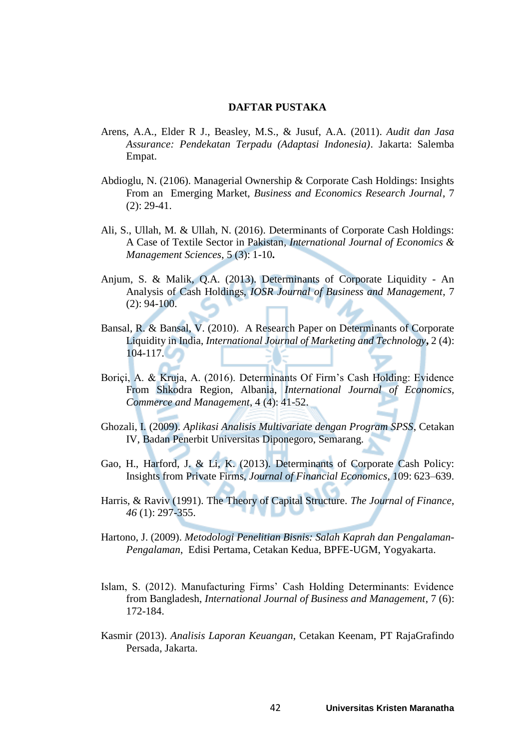## **DAFTAR PUSTAKA**

- Arens, A.A., Elder R J., Beasley, M.S., & Jusuf, A.A. (2011). *Audit dan Jasa Assurance: Pendekatan Terpadu (Adaptasi Indonesia)*. Jakarta: Salemba Empat.
- Abdioglu, N. (2106). Managerial Ownership & Corporate Cash Holdings: Insights From an Emerging Market, *Business and Economics Research Journal*, 7 (2): 29-41.
- Ali, S., Ullah, M. & Ullah, N. (2016). Determinants of Corporate Cash Holdings: A Case of Textile Sector in Pakistan*, International Journal of Economics & Management Sciences*, 5 (3): 1-10**.**
- Anjum, S. & Malik, Q.A. (2013). Determinants of Corporate Liquidity An Analysis of Cash Holdings, *IOSR Journal of Business and Management*, 7 (2): 94-100.
- Bansal, R. & Bansal, V. (2010). A Research Paper on Determinants of Corporate Liquidity in India, *International Journal of Marketing and Technology***,** 2 (4): 104-117.
- Boriçi, A. & Kruja, A. (2016). Determinants Of Firm's Cash Holding: Evidence From Shkodra Region, Albania, *International Journal of Economics, Commerce and Management*, 4 (4): 41-52.
- Ghozali, I. (2009). *Aplikasi Analisis Multivariate dengan Program SPSS*, Cetakan IV, Badan Penerbit Universitas Diponegoro, Semarang.
- Gao, H., Harford, J. & Li, K. (2013). Determinants of Corporate Cash Policy: Insights from Private Firms, *Journal of Financial Economics*, 109: 623–639.
- Harris, & Raviv (1991). The Theory of Capital Structure. *The Journal of Finance*, *46* (1): 297-355.
- Hartono, J. (2009). *Metodologi Penelitian Bisnis: Salah Kaprah dan Pengalaman-Pengalaman*, Edisi Pertama, Cetakan Kedua, BPFE-UGM, Yogyakarta.
- Islam, S. (2012). Manufacturing Firms' Cash Holding Determinants: Evidence from Bangladesh, *International Journal of Business and Management*, 7 (6): 172-184.
- Kasmir (2013). *Analisis Laporan Keuangan*, Cetakan Keenam, PT RajaGrafindo Persada, Jakarta.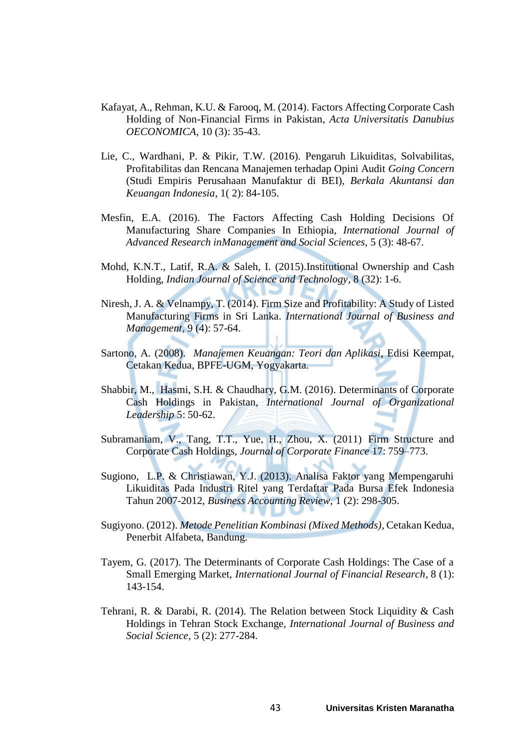- Kafayat, A., Rehman, K.U. & Farooq, M. (2014). Factors Affecting Corporate Cash Holding of Non-Financial Firms in Pakistan, *Acta Universitatis Danubius OECONOMICA,* 10 (3): 35-43.
- Lie, C., Wardhani, P. & Pikir, T.W. (2016). Pengaruh Likuiditas, Solvabilitas, Profitabilitas dan Rencana Manajemen terhadap Opini Audit *Going Concern*  (Studi Empiris Perusahaan Manufaktur di BEI), *Berkala Akuntansi dan Keuangan Indonesia*, 1( 2): 84-105.
- Mesfin, E.A. (2016). The Factors Affecting Cash Holding Decisions Of Manufacturing Share Companies In Ethiopia, *International Journal of Advanced Research inManagement and Social Sciences,* 5 (3): 48-67.
- Mohd, K.N.T., Latif, R.A. & Saleh, I. (2015).Institutional Ownership and Cash Holding, *Indian Journal of Science and Technology*, 8 (32): 1-6.
- Niresh, J. A. & Velnampy, T. (2014). Firm Size and Profitability: A Study of Listed Manufacturing Firms in Sri Lanka. *International Journal of Business and Management*, 9 (4): 57-64.
- Sartono, A. (2008). *Manajemen Keuangan: Teori dan Aplikasi*, Edisi Keempat, Cetakan Kedua, BPFE-UGM, Yogyakarta.
- Shabbir, M., Hasmi, S.H. & Chaudhary, G.M. (2016). Determinants of Corporate Cash Holdings in Pakistan, *International Journal of Organizational Leadership* 5: 50-62.
- Subramaniam, V., Tang, T.T., Yue, H., Zhou, X. (2011) Firm Structure and Corporate Cash Holdings, *Journal of Corporate Finance* 17: 759–773.
- Sugiono, L.P. & Christiawan, Y.J. (2013). Analisa Faktor yang Mempengaruhi Likuiditas Pada Industri Ritel yang Terdaftar Pada Bursa Efek Indonesia Tahun 2007-2012, *Business Accounting Review*, 1 (2): 298-305.
- Sugiyono. (2012). *Metode Penelitian Kombinasi (Mixed Methods)*, Cetakan Kedua, Penerbit Alfabeta, Bandung.
- Tayem, G. (2017). The Determinants of Corporate Cash Holdings: The Case of a Small Emerging Market, *International Journal of Financial Research*, 8 (1): 143-154.
- Tehrani, R. & Darabi, R. (2014). The Relation between Stock Liquidity & Cash Holdings in Tehran Stock Exchange, *International Journal of Business and Social Science*, 5 (2): 277-284.